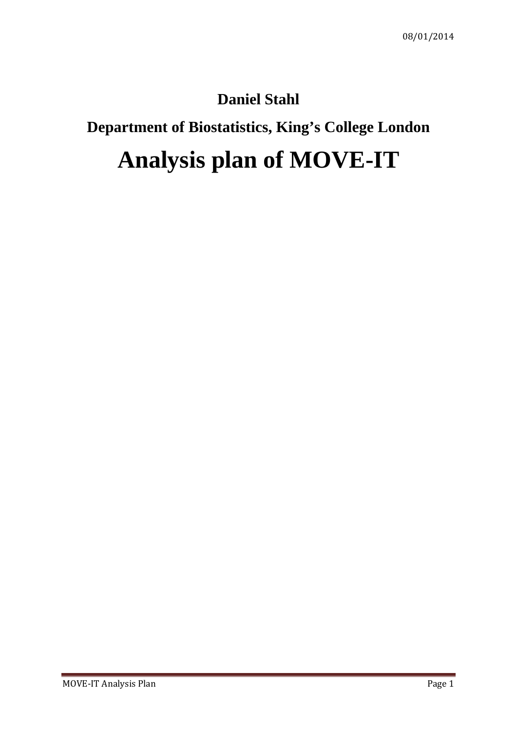## **Daniel Stahl**

# **Department of Biostatistics, King's College London**

# **Analysis plan of MOVE-IT**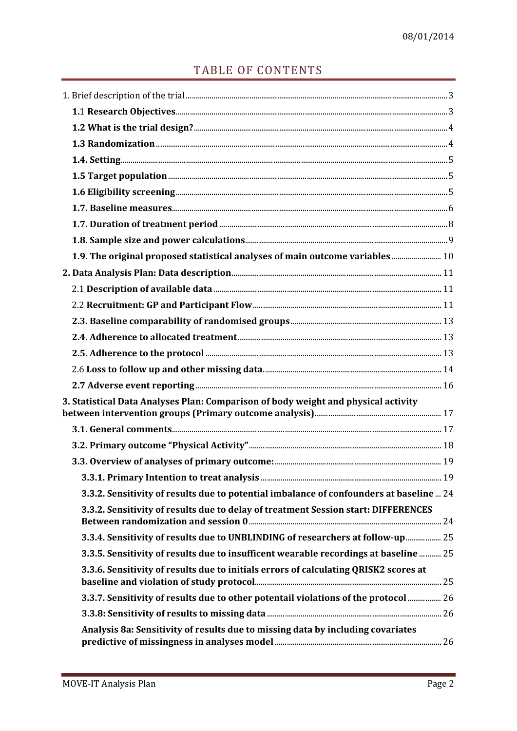### TABLE OF CONTENTS

| 1.9. The original proposed statistical analyses of main outcome variables  10           |  |
|-----------------------------------------------------------------------------------------|--|
|                                                                                         |  |
|                                                                                         |  |
|                                                                                         |  |
|                                                                                         |  |
|                                                                                         |  |
|                                                                                         |  |
|                                                                                         |  |
|                                                                                         |  |
| 3. Statistical Data Analyses Plan: Comparison of body weight and physical activity      |  |
|                                                                                         |  |
|                                                                                         |  |
|                                                                                         |  |
|                                                                                         |  |
| 3.3.2. Sensitivity of results due to potential imbalance of confounders at baseline  24 |  |
| 3.3.2. Sensitivity of results due to delay of treatment Session start: DIFFERENCES      |  |
| 3.3.4. Sensitivity of results due to UNBLINDING of researchers at follow-up 25          |  |
| 3.3.5. Sensitivity of results due to insufficent wearable recordings at baseline  25    |  |
| 3.3.6. Sensitivity of results due to initials errors of calculating QRISK2 scores at    |  |
| 3.3.7. Sensitivity of results due to other potentail violations of the protocol 26      |  |
|                                                                                         |  |
| Analysis 8a: Sensitivity of results due to missing data by including covariates         |  |
|                                                                                         |  |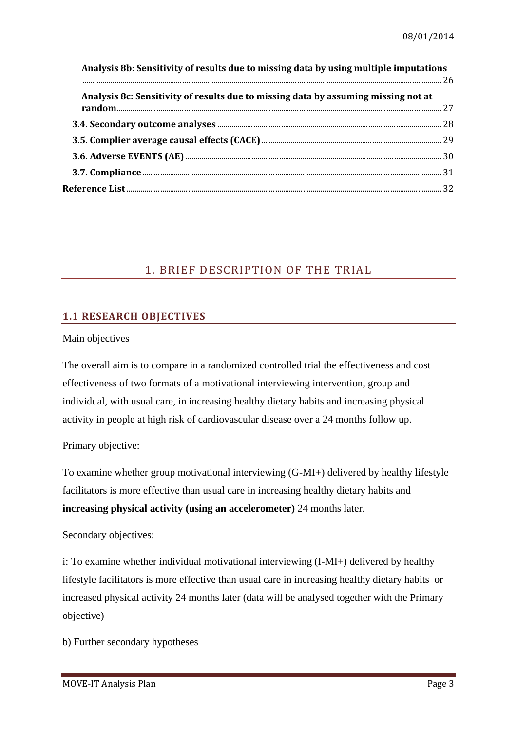| Analysis 8b: Sensitivity of results due to missing data by using multiple imputations |  |  |  |  |  |  |
|---------------------------------------------------------------------------------------|--|--|--|--|--|--|
| Analysis 8c: Sensitivity of results due to missing data by assuming missing not at    |  |  |  |  |  |  |
|                                                                                       |  |  |  |  |  |  |
|                                                                                       |  |  |  |  |  |  |
|                                                                                       |  |  |  |  |  |  |
|                                                                                       |  |  |  |  |  |  |
|                                                                                       |  |  |  |  |  |  |
|                                                                                       |  |  |  |  |  |  |

### <span id="page-2-0"></span>1. BRIEF DESCRIPTION OF THE TRIAL

### <span id="page-2-1"></span>**1.**1 **RESEARCH OBJECTIVES**

Main objectives

The overall aim is to compare in a randomized controlled trial the effectiveness and cost effectiveness of two formats of a motivational interviewing intervention, group and individual, with usual care, in increasing healthy dietary habits and increasing physical activity in people at high risk of cardiovascular disease over a 24 months follow up.

Primary objective:

To examine whether group motivational interviewing (G-MI+) delivered by healthy lifestyle facilitators is more effective than usual care in increasing healthy dietary habits and **increasing physical activity (using an accelerometer)** 24 months later.

Secondary objectives:

i: To examine whether individual motivational interviewing (I-MI+) delivered by healthy lifestyle facilitators is more effective than usual care in increasing healthy dietary habits or increased physical activity 24 months later (data will be analysed together with the Primary objective)

b) Further secondary hypotheses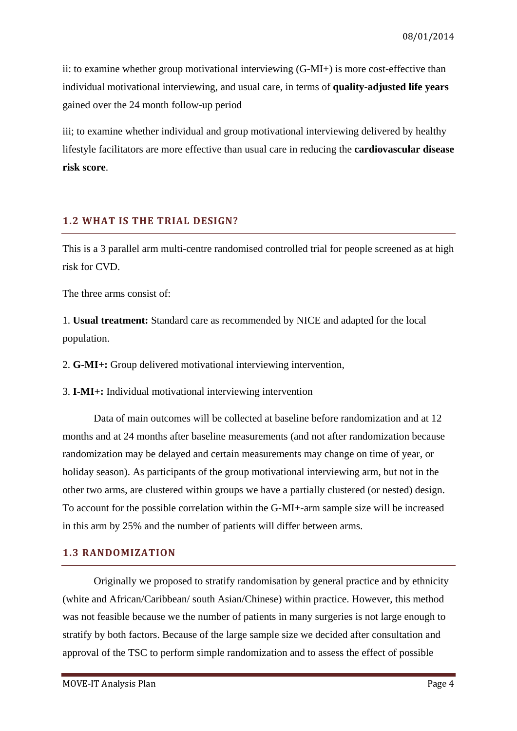ii: to examine whether group motivational interviewing (G-MI+) is more cost-effective than individual motivational interviewing, and usual care, in terms of **quality-adjusted life years** gained over the 24 month follow-up period

iii; to examine whether individual and group motivational interviewing delivered by healthy lifestyle facilitators are more effective than usual care in reducing the **cardiovascular disease risk score**.

### <span id="page-3-0"></span>**1.2 WHAT IS THE TRIAL DESIGN?**

This is a 3 parallel arm multi-centre randomised controlled trial for people screened as at high risk for CVD.

The three arms consist of:

1. **Usual treatment:** Standard care as recommended by NICE and adapted for the local population.

2. **G-MI+:** Group delivered motivational interviewing intervention,

3. **I-MI+:** Individual motivational interviewing intervention

Data of main outcomes will be collected at baseline before randomization and at 12 months and at 24 months after baseline measurements (and not after randomization because randomization may be delayed and certain measurements may change on time of year, or holiday season). As participants of the group motivational interviewing arm, but not in the other two arms, are clustered within groups we have a partially clustered (or nested) design. To account for the possible correlation within the G-MI+-arm sample size will be increased in this arm by 25% and the number of patients will differ between arms.

### <span id="page-3-1"></span>**1.3 RANDOMIZATION**

Originally we proposed to stratify randomisation by general practice and by ethnicity (white and African/Caribbean/ south Asian/Chinese) within practice. However, this method was not feasible because we the number of patients in many surgeries is not large enough to stratify by both factors. Because of the large sample size we decided after consultation and approval of the TSC to perform simple randomization and to assess the effect of possible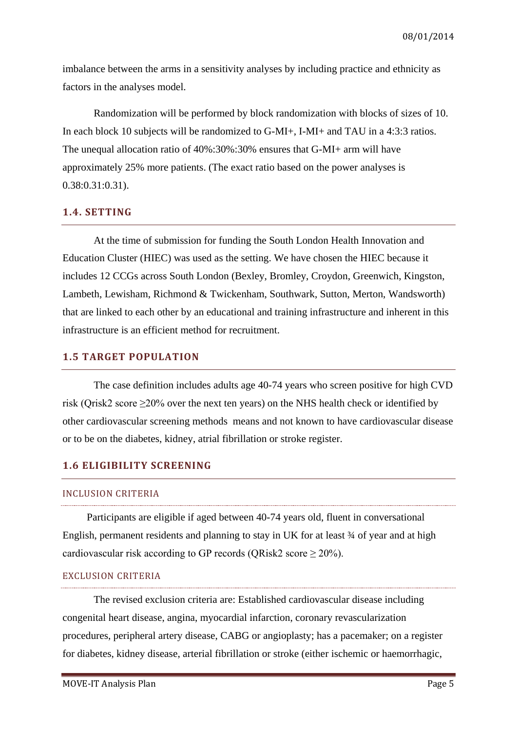imbalance between the arms in a sensitivity analyses by including practice and ethnicity as factors in the analyses model.

Randomization will be performed by block randomization with blocks of sizes of 10. In each block 10 subjects will be randomized to G-MI+, I-MI+ and TAU in a 4:3:3 ratios. The unequal allocation ratio of 40%:30%:30% ensures that G-MI+ arm will have approximately 25% more patients. (The exact ratio based on the power analyses is 0.38:0.31:0.31).

### <span id="page-4-0"></span>**1.4. SETTING**

At the time of submission for funding the South London Health Innovation and Education Cluster (HIEC) was used as the setting. We have chosen the HIEC because it includes 12 CCGs across South London (Bexley, Bromley, Croydon, Greenwich, Kingston, Lambeth, Lewisham, Richmond & Twickenham, Southwark, Sutton, Merton, Wandsworth) that are linked to each other by an educational and training infrastructure and inherent in this infrastructure is an efficient method for recruitment.

### <span id="page-4-1"></span>**1.5 TARGET POPULATION**

The case definition includes adults age 40-74 years who screen positive for high CVD risk (Qrisk2 score ≥20% over the next ten years) on the NHS health check or identified by other cardiovascular screening methods means and not known to have cardiovascular disease or to be on the diabetes, kidney, atrial fibrillation or stroke register.

### <span id="page-4-2"></span>**1.6 ELIGIBILITY SCREENING**

### INCLUSION CRITERIA

Participants are eligible if aged between 40-74 years old, fluent in conversational English, permanent residents and planning to stay in UK for at least ¾ of year and at high cardiovascular risk according to GP records (QRisk2 score  $\geq 20\%$ ).

### EXCLUSION CRITERIA

The revised exclusion criteria are: Established cardiovascular disease including congenital heart disease, angina, myocardial infarction, coronary revascularization procedures, peripheral artery disease, CABG or angioplasty; has a pacemaker; on a register for diabetes, kidney disease, arterial fibrillation or stroke (either ischemic or haemorrhagic,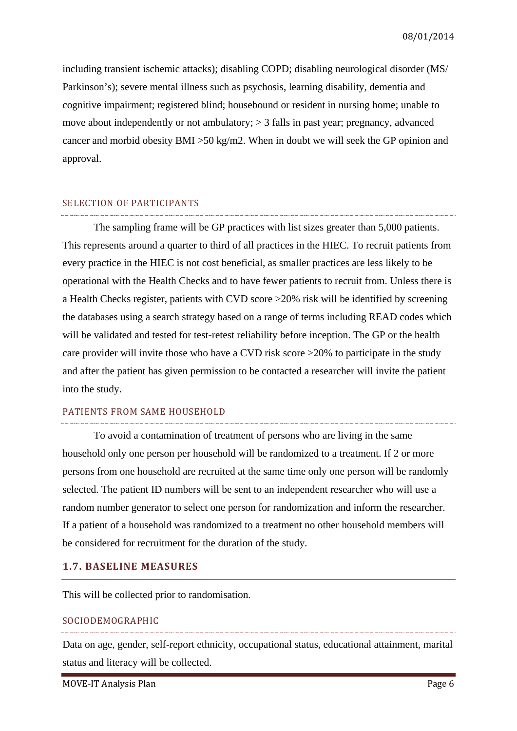including transient ischemic attacks); disabling COPD; disabling neurological disorder (MS/ Parkinson's); severe mental illness such as psychosis, learning disability, dementia and cognitive impairment; registered blind; housebound or resident in nursing home; unable to move about independently or not ambulatory; > 3 falls in past year; pregnancy, advanced cancer and morbid obesity BMI >50 kg/m2. When in doubt we will seek the GP opinion and approval.

#### SELECTION OF PARTICIPANTS

The sampling frame will be GP practices with list sizes greater than 5,000 patients. This represents around a quarter to third of all practices in the HIEC. To recruit patients from every practice in the HIEC is not cost beneficial, as smaller practices are less likely to be operational with the Health Checks and to have fewer patients to recruit from. Unless there is a Health Checks register, patients with CVD score >20% risk will be identified by screening the databases using a search strategy based on a range of terms including READ codes which will be validated and tested for test-retest reliability before inception. The GP or the health care provider will invite those who have a CVD risk score >20% to participate in the study and after the patient has given permission to be contacted a researcher will invite the patient into the study.

### PATIENTS FROM SAME HOUSEHOLD

To avoid a contamination of treatment of persons who are living in the same household only one person per household will be randomized to a treatment. If 2 or more persons from one household are recruited at the same time only one person will be randomly selected. The patient ID numbers will be sent to an independent researcher who will use a random number generator to select one person for randomization and inform the researcher. If a patient of a household was randomized to a treatment no other household members will be considered for recruitment for the duration of the study.

### <span id="page-5-0"></span>**1.7. BASELINE MEASURES**

This will be collected prior to randomisation.

### SOCIODEMOGRAPHIC

Data on age, gender, self-report ethnicity, occupational status, educational attainment, marital status and literacy will be collected.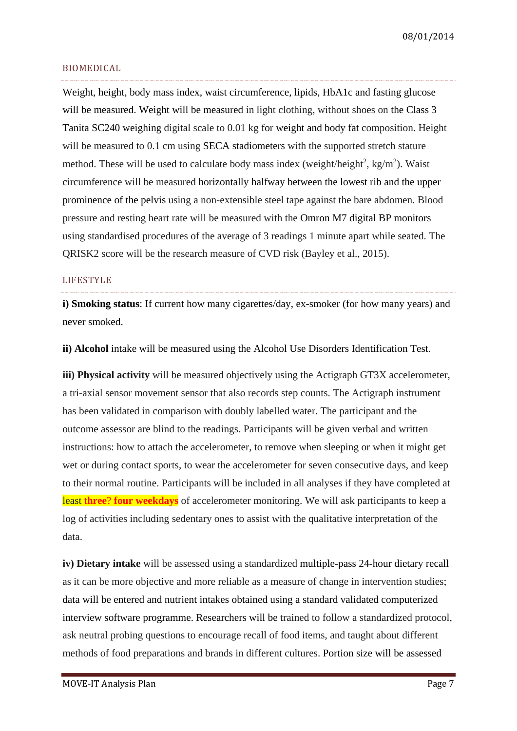08/01/2014

### BIOMEDICAL

Weight, height, body mass index, waist circumference, lipids, HbA1c and fasting glucose will be measured. Weight will be measured in light clothing, without shoes on the Class 3 Tanita SC240 weighing digital scale to 0.01 kg for weight and body fat composition. Height will be measured to 0.1 cm using SECA stadiometers with the supported stretch stature method. These will be used to calculate body mass index (weight/height<sup>2</sup>, kg/m<sup>2</sup>). Waist circumference will be measured horizontally halfway between the lowest rib and the upper prominence of the pelvis using a non-extensible steel tape against the bare abdomen. Blood pressure and resting heart rate will be measured with the Omron M7 digital BP monitors using standardised procedures of the average of 3 readings 1 minute apart while seated. The QRISK2 score will be the research measure of CVD risk (Bayley et al., 2015).

### LIFESTYLE

**i) Smoking status**: If current how many cigarettes/day, ex-smoker (for how many years) and never smoked.

**ii) Alcohol** intake will be measured using the Alcohol Use Disorders Identification Test.

**iii) Physical activity** will be measured objectively using the Actigraph GT3X accelerometer, a tri-axial sensor movement sensor that also records step counts. The Actigraph instrument has been validated in comparison with doubly labelled water. The participant and the outcome assessor are blind to the readings. Participants will be given verbal and written instructions: how to attach the accelerometer, to remove when sleeping or when it might get wet or during contact sports, to wear the accelerometer for seven consecutive days, and keep to their normal routine. Participants will be included in all analyses if they have completed at least t**hree**? **four weekdays** of accelerometer monitoring. We will ask participants to keep a log of activities including sedentary ones to assist with the qualitative interpretation of the data.

**iv) Dietary intake** will be assessed using a standardized multiple-pass 24-hour dietary recall as it can be more objective and more reliable as a measure of change in intervention studies; data will be entered and nutrient intakes obtained using a standard validated computerized interview software programme. Researchers will be trained to follow a standardized protocol, ask neutral probing questions to encourage recall of food items, and taught about different methods of food preparations and brands in different cultures. Portion size will be assessed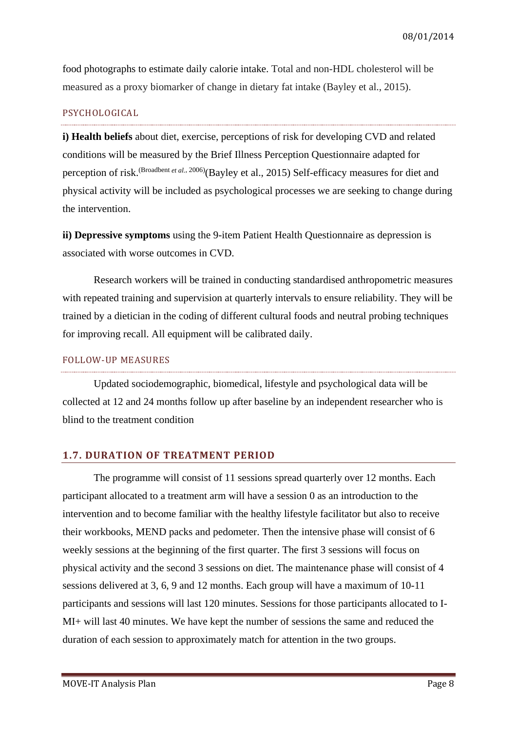food photographs to estimate daily calorie intake. Total and non-HDL cholesterol will be measured as a proxy biomarker of change in dietary fat intake (Bayley et al., 2015).

### PSYCHOLOGICAL

**i) Health beliefs** about diet, exercise, perceptions of risk for developing CVD and related conditions will be measured by the Brief Illness Perception Questionnaire adapted for perception of risk.<sup>[\(Broadbent](#page-31-1) et al., 2006)</sup>(Bayley et al., 2015) Self-efficacy measures for diet and physical activity will be included as psychological processes we are seeking to change during the intervention.

**ii) Depressive symptoms** using the 9-item Patient Health Questionnaire as depression is associated with worse outcomes in CVD.

Research workers will be trained in conducting standardised anthropometric measures with repeated training and supervision at quarterly intervals to ensure reliability. They will be trained by a dietician in the coding of different cultural foods and neutral probing techniques for improving recall. All equipment will be calibrated daily.

### FOLLOW-UP MEASURES

Updated sociodemographic, biomedical, lifestyle and psychological data will be collected at 12 and 24 months follow up after baseline by an independent researcher who is blind to the treatment condition

### <span id="page-7-0"></span>**1.7. DURATION OF TREATMENT PERIOD**

The programme will consist of 11 sessions spread quarterly over 12 months. Each participant allocated to a treatment arm will have a session 0 as an introduction to the intervention and to become familiar with the healthy lifestyle facilitator but also to receive their workbooks, MEND packs and pedometer. Then the intensive phase will consist of 6 weekly sessions at the beginning of the first quarter. The first 3 sessions will focus on physical activity and the second 3 sessions on diet. The maintenance phase will consist of 4 sessions delivered at 3, 6, 9 and 12 months. Each group will have a maximum of 10-11 participants and sessions will last 120 minutes. Sessions for those participants allocated to I-MI+ will last 40 minutes. We have kept the number of sessions the same and reduced the duration of each session to approximately match for attention in the two groups.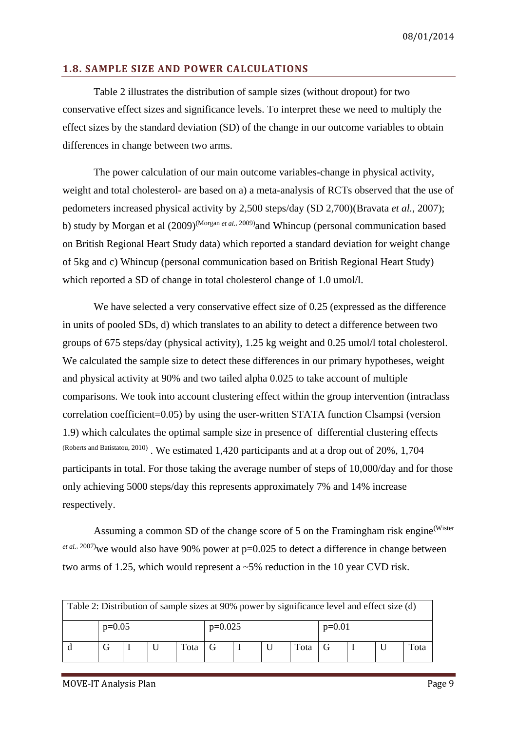### <span id="page-8-0"></span>**1.8. SAMPLE SIZE AND POWER CALCULATIONS**

Table 2 illustrates the distribution of sample sizes (without dropout) for two conservative effect sizes and significance levels. To interpret these we need to multiply the effect sizes by the standard deviation (SD) of the change in our outcome variables to obtain differences in change between two arms.

The power calculation of our main outcome variables-change in physical activity, weight and total cholesterol- are based on a) a meta-analysis of RCTs observed that the use of pedometers increased physical activity by 2,500 steps/day (SD 2,700)[\(Bravata](#page-31-2) *et al.*, 2007); b) study by Morgan et al  $(2009)^{(Morgan *et al.*, 2009)}$  $(2009)^{(Morgan *et al.*, 2009)}$  $(2009)^{(Morgan *et al.*, 2009)}$  and Whincup (personal communication based on British Regional Heart Study data) which reported a standard deviation for weight change of 5kg and c) Whincup (personal communication based on British Regional Heart Study) which reported a SD of change in total cholesterol change of 1.0 umol/l.

We have selected a very conservative effect size of 0.25 (expressed as the difference in units of pooled SDs, d) which translates to an ability to detect a difference between two groups of 675 steps/day (physical activity), 1.25 kg weight and 0.25 umol/l total cholesterol. We calculated the sample size to detect these differences in our primary hypotheses, weight and physical activity at 90% and two tailed alpha 0.025 to take account of multiple comparisons. We took into account clustering effect within the group intervention (intraclass correlation coefficient=0.05) by using the user-written STATA function Clsampsi (version 1.9) which calculates the optimal sample size in presence of differential clustering effects [\(Roberts and Batistatou, 2010\)](#page-31-4) . We estimated 1,420 participants and at a drop out of 20%, 1,704 participants in total. For those taking the average number of steps of 10,000/day and for those only achieving 5000 steps/day this represents approximately 7% and 14% increase respectively.

Assuming a common SD of the change score of 5 on the Framingham risk engine[\(Wister](#page-31-5) <sup>et al.[, 2007\)](#page-31-5)</sup> we would also have 90% power at p=0.025 to detect a difference in change between two arms of 1.25, which would represent a  $\sim$  5% reduction in the 10 year CVD risk.

| Table 2: Distribution of sample sizes at 90% power by significance level and effect size (d) |          |  |  |      |           |  |  |      |          |  |  |      |
|----------------------------------------------------------------------------------------------|----------|--|--|------|-----------|--|--|------|----------|--|--|------|
|                                                                                              | $p=0.05$ |  |  |      | $p=0.025$ |  |  |      | $p=0.01$ |  |  |      |
|                                                                                              |          |  |  | Tota |           |  |  | Tota |          |  |  | Tota |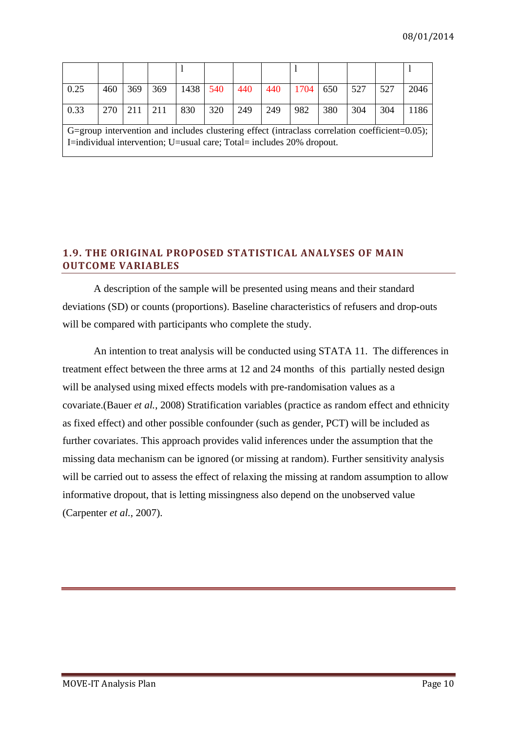| 0.25 | 460 | 369 369     | 1438 540 |     | 440 | 440 | $1704$ 650 |     | 527 | 527 | 2046 |
|------|-----|-------------|----------|-----|-----|-----|------------|-----|-----|-----|------|
| 0.33 | 270 | $211$   211 | 830      | 320 | 249 | 249 | 982        | 380 | 304 | 304 | 1186 |

G=group intervention and includes clustering effect (intraclass correlation coefficient=0.05); I=individual intervention; U=usual care; Total= includes 20% dropout.

### <span id="page-9-0"></span>**1.9. THE ORIGINAL PROPOSED STATISTICAL ANALYSES OF MAIN OUTCOME VARIABLES**

A description of the sample will be presented using means and their standard deviations (SD) or counts (proportions). Baseline characteristics of refusers and drop-outs will be compared with participants who complete the study.

An intention to treat analysis will be conducted using STATA 11. The differences in treatment effect between the three arms at 12 and 24 months of this partially nested design will be analysed using mixed effects models with pre-randomisation values as a covariate.(Bauer *et al.*[, 2008\)](#page-31-6) Stratification variables (practice as random effect and ethnicity as fixed effect) and other possible confounder (such as gender, PCT) will be included as further covariates. This approach provides valid inferences under the assumption that the missing data mechanism can be ignored (or missing at random). Further sensitivity analysis will be carried out to assess the effect of relaxing the missing at random assumption to allow informative dropout, that is letting missingness also depend on the unobserved value [\(Carpenter](#page-31-7) *et al.*, 2007).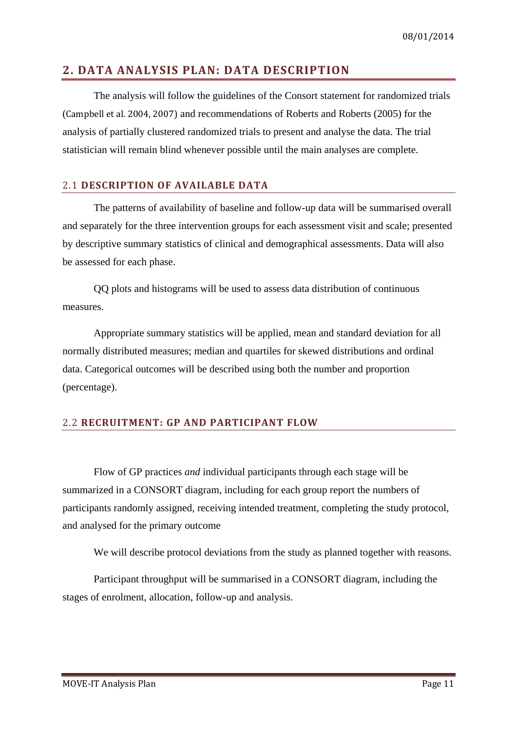### <span id="page-10-0"></span>**2. DATA ANALYSIS PLAN: DATA DESCRIPTION**

The analysis will follow the guidelines of the Consort statement for randomized trials (Campbell et al. 2004, 2007) and recommendations of Roberts and Roberts (2005) for the analysis of partially clustered randomized trials to present and analyse the data. The trial statistician will remain blind whenever possible until the main analyses are complete.

### <span id="page-10-1"></span>2.1 **DESCRIPTION OF AVAILABLE DATA**

The patterns of availability of baseline and follow-up data will be summarised overall and separately for the three intervention groups for each assessment visit and scale; presented by descriptive summary statistics of clinical and demographical assessments. Data will also be assessed for each phase.

QQ plots and histograms will be used to assess data distribution of continuous measures.

Appropriate summary statistics will be applied, mean and standard deviation for all normally distributed measures; median and quartiles for skewed distributions and ordinal data. Categorical outcomes will be described using both the number and proportion (percentage).

### <span id="page-10-2"></span>2.2 **RECRUITMENT: GP AND PARTICIPANT FLOW**

Flow of GP practices *and* individual participants through each stage will be summarized in a CONSORT diagram, including for each group report the numbers of participants randomly assigned, receiving intended treatment, completing the study protocol, and analysed for the primary outcome

We will describe protocol deviations from the study as planned together with reasons.

Participant throughput will be summarised in a CONSORT diagram, including the stages of enrolment, allocation, follow-up and analysis.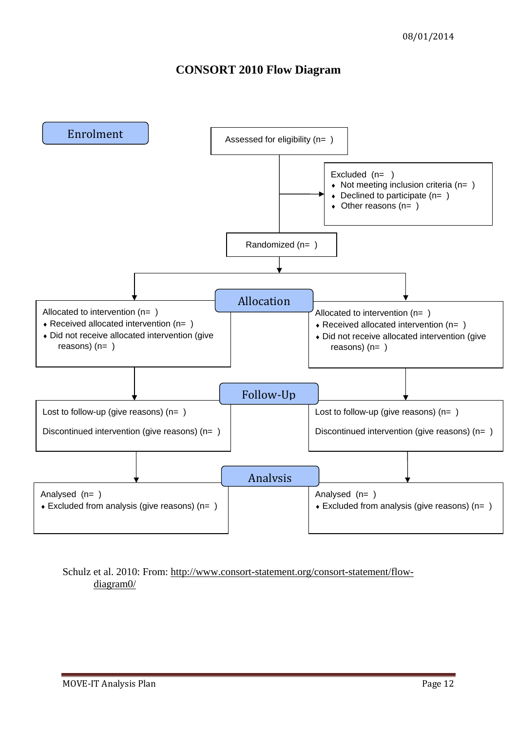### **CONSORT 2010 Flow Diagram**



Schulz et al. 2010: From: [http://www.consort-statement.org/consort-statement/flow](http://www.consort-statement.org/consort-statement/flow-diagram0/)[diagram0/](http://www.consort-statement.org/consort-statement/flow-diagram0/)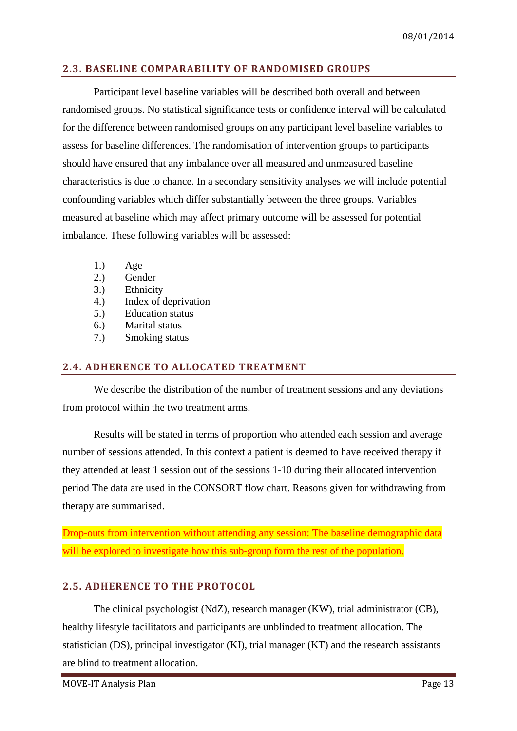### <span id="page-12-0"></span>**2.3. BASELINE COMPARABILITY OF RANDOMISED GROUPS**

Participant level baseline variables will be described both overall and between randomised groups. No statistical significance tests or confidence interval will be calculated for the difference between randomised groups on any participant level baseline variables to assess for baseline differences. The randomisation of intervention groups to participants should have ensured that any imbalance over all measured and unmeasured baseline characteristics is due to chance. In a secondary sensitivity analyses we will include potential confounding variables which differ substantially between the three groups. Variables measured at baseline which may affect primary outcome will be assessed for potential imbalance. These following variables will be assessed:

- 1.) Age
- 2.) Gender
- 3.) Ethnicity
- 4.) Index of deprivation
- 5.) Education status
- 6.) Marital status
- 7.) Smoking status

### <span id="page-12-1"></span>**2.4. ADHERENCE TO ALLOCATED TREATMENT**

We describe the distribution of the number of treatment sessions and any deviations from protocol within the two treatment arms.

Results will be stated in terms of proportion who attended each session and average number of sessions attended. In this context a patient is deemed to have received therapy if they attended at least 1 session out of the sessions 1-10 during their allocated intervention period The data are used in the CONSORT flow chart. Reasons given for withdrawing from therapy are summarised.

Drop-outs from intervention without attending any session: The baseline demographic data will be explored to investigate how this sub-group form the rest of the population.

### <span id="page-12-2"></span>**2.5. ADHERENCE TO THE PROTOCOL**

The clinical psychologist (NdZ), research manager (KW), trial administrator (CB), healthy lifestyle facilitators and participants are unblinded to treatment allocation. The statistician (DS), principal investigator (KI), trial manager (KT) and the research assistants are blind to treatment allocation.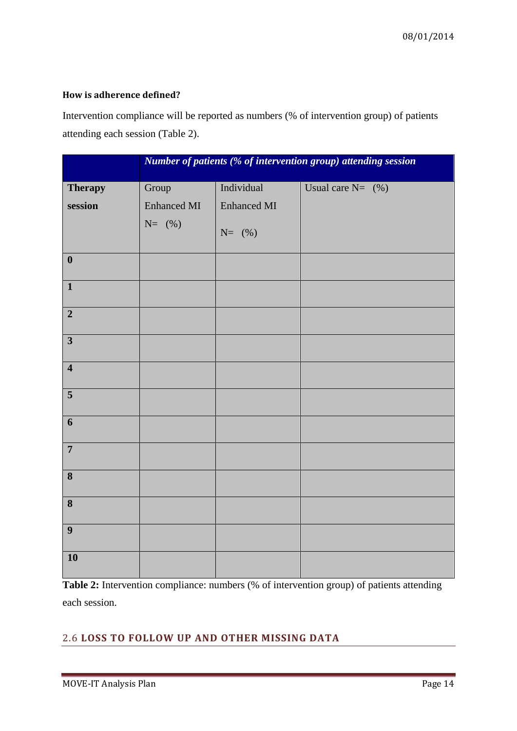### **How is adherence defined?**

Intervention compliance will be reported as numbers (% of intervention group) of patients attending each session (Table 2).

|                         |                    |                    | Number of patients (% of intervention group) attending session |
|-------------------------|--------------------|--------------------|----------------------------------------------------------------|
| <b>Therapy</b>          | Group              | Individual         | Usual care $N = (%)$                                           |
| session                 | <b>Enhanced MI</b> | <b>Enhanced MI</b> |                                                                |
|                         | $N=$ (%)           | $N=$ (%)           |                                                                |
| $\boldsymbol{0}$        |                    |                    |                                                                |
| $\overline{1}$          |                    |                    |                                                                |
| $\overline{2}$          |                    |                    |                                                                |
| $\overline{\mathbf{3}}$ |                    |                    |                                                                |
| $\overline{\mathbf{4}}$ |                    |                    |                                                                |
| $\overline{\mathbf{5}}$ |                    |                    |                                                                |
| 6                       |                    |                    |                                                                |
| $\overline{7}$          |                    |                    |                                                                |
| 8                       |                    |                    |                                                                |
| 8                       |                    |                    |                                                                |
| $\boldsymbol{9}$        |                    |                    |                                                                |
| 10                      |                    |                    |                                                                |

**Table 2:** Intervention compliance: numbers (% of intervention group) of patients attending each session.

### <span id="page-13-0"></span>2.6 **LOSS TO FOLLOW UP AND OTHER MISSING DATA**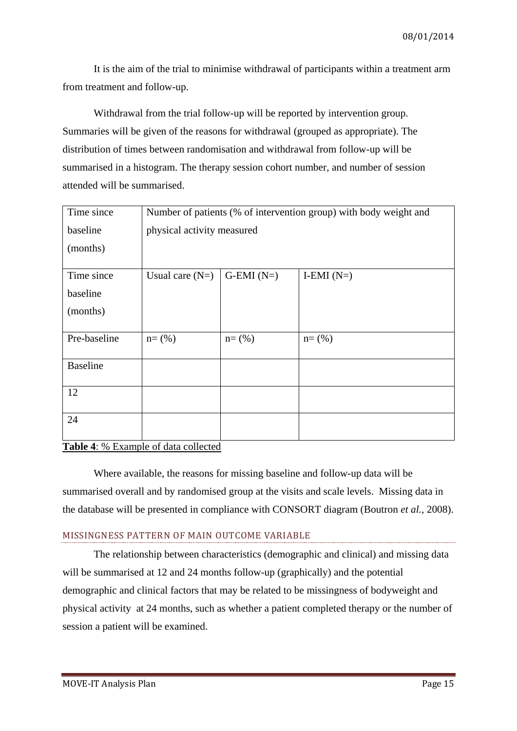It is the aim of the trial to minimise withdrawal of participants within a treatment arm from treatment and follow-up.

Withdrawal from the trial follow-up will be reported by intervention group. Summaries will be given of the reasons for withdrawal (grouped as appropriate). The distribution of times between randomisation and withdrawal from follow-up will be summarised in a histogram. The therapy session cohort number, and number of session attended will be summarised.

| Number of patients (% of intervention group) with body weight and |             |              |  |  |  |  |
|-------------------------------------------------------------------|-------------|--------------|--|--|--|--|
| physical activity measured                                        |             |              |  |  |  |  |
|                                                                   |             |              |  |  |  |  |
| Usual care $(N=)$                                                 | $G-EMI(N=)$ | I-EMI $(N=)$ |  |  |  |  |
|                                                                   |             |              |  |  |  |  |
|                                                                   |             |              |  |  |  |  |
|                                                                   |             |              |  |  |  |  |
|                                                                   |             | $n = (% )$   |  |  |  |  |
|                                                                   |             |              |  |  |  |  |
|                                                                   |             |              |  |  |  |  |
|                                                                   |             |              |  |  |  |  |
|                                                                   | $n = (% )$  | $n = (% )$   |  |  |  |  |

### **Table 4**: % Example of data collected

Where available, the reasons for missing baseline and follow-up data will be summarised overall and by randomised group at the visits and scale levels. Missing data in the database will be presented in compliance with CONSORT diagram [\(Boutron](#page-31-8) *et al.*, 2008).

### MISSINGNESS PATTERN OF MAIN OUTCOME VARIABLE

The relationship between characteristics (demographic and clinical) and missing data will be summarised at 12 and 24 months follow-up (graphically) and the potential demographic and clinical factors that may be related to be missingness of bodyweight and physical activity at 24 months, such as whether a patient completed therapy or the number of session a patient will be examined.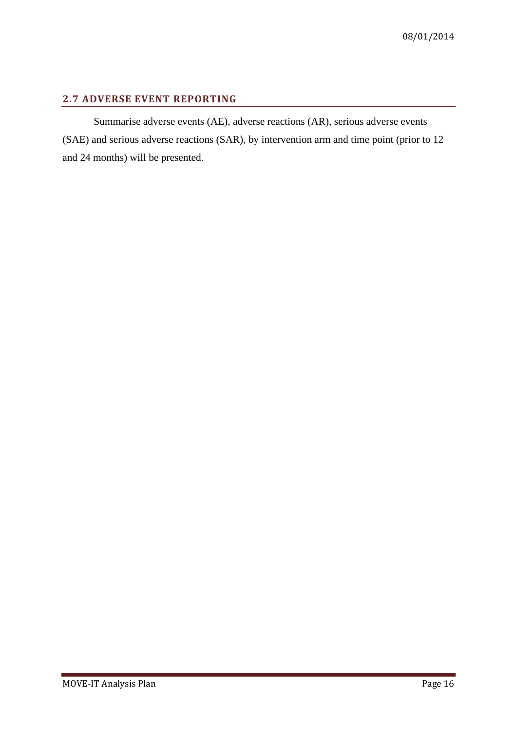### <span id="page-15-0"></span>**2.7 ADVERSE EVENT REPORTING**

Summarise adverse events (AE), adverse reactions (AR), serious adverse events (SAE) and serious adverse reactions (SAR), by intervention arm and time point (prior to 12 and 24 months) will be presented.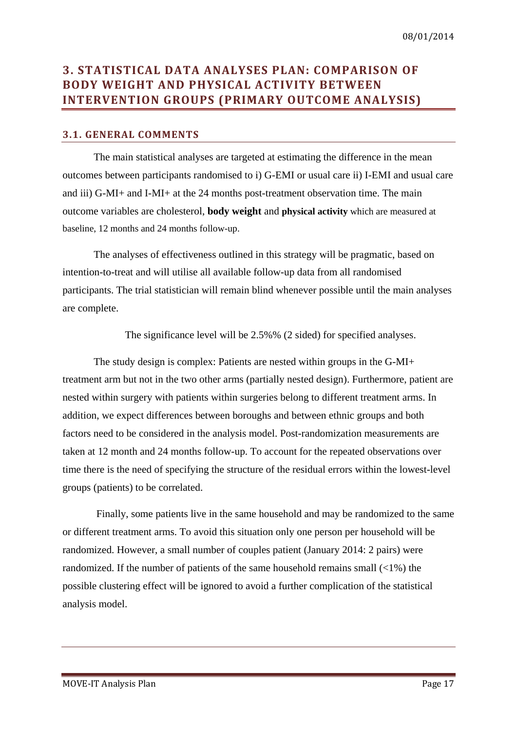### <span id="page-16-0"></span>**3. STATISTICAL DATA ANALYSES PLAN: COMPARISON OF BODY WEIGHT AND PHYSICAL ACTIVITY BETWEEN INTERVENTION GROUPS (PRIMARY OUTCOME ANALYSIS)**

### <span id="page-16-1"></span>**3.1. GENERAL COMMENTS**

The main statistical analyses are targeted at estimating the difference in the mean outcomes between participants randomised to i) G-EMI or usual care ii) I-EMI and usual care and iii) G-MI+ and I-MI+ at the 24 months post-treatment observation time. The main outcome variables are cholesterol, **body weight** and **physical activity** which are measured at baseline, 12 months and 24 months follow-up.

The analyses of effectiveness outlined in this strategy will be pragmatic, based on intention-to-treat and will utilise all available follow-up data from all randomised participants. The trial statistician will remain blind whenever possible until the main analyses are complete.

The significance level will be 2.5%% (2 sided) for specified analyses.

The study design is complex: Patients are nested within groups in the G-MI+ treatment arm but not in the two other arms (partially nested design). Furthermore, patient are nested within surgery with patients within surgeries belong to different treatment arms. In addition, we expect differences between boroughs and between ethnic groups and both factors need to be considered in the analysis model. Post-randomization measurements are taken at 12 month and 24 months follow-up. To account for the repeated observations over time there is the need of specifying the structure of the residual errors within the lowest-level groups (patients) to be correlated.

Finally, some patients live in the same household and may be randomized to the same or different treatment arms. To avoid this situation only one person per household will be randomized. However, a small number of couples patient (January 2014: 2 pairs) were randomized. If the number of patients of the same household remains small  $\left\langle 2\right\rangle$  the possible clustering effect will be ignored to avoid a further complication of the statistical analysis model.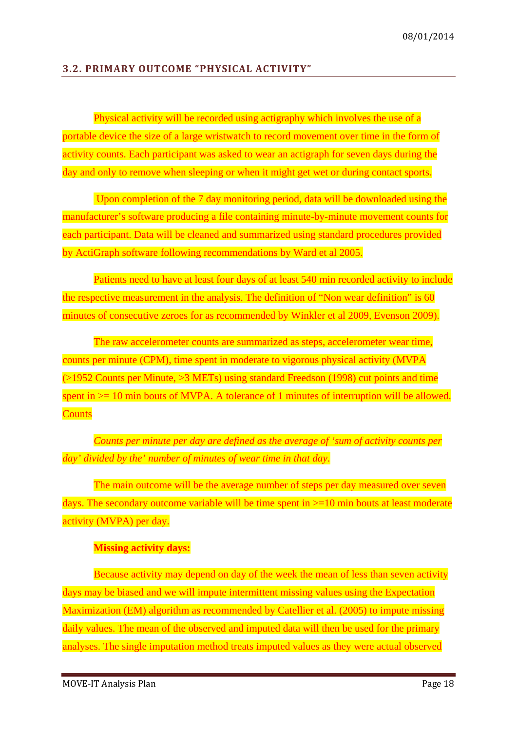### <span id="page-17-0"></span>**3.2. PRIMARY OUTCOME "PHYSICAL ACTIVITY"**

Physical activity will be recorded using actigraphy which involves the use of a portable device the size of a large wristwatch to record movement over time in the form of activity counts. Each participant was asked to wear an actigraph for seven days during the day and only to remove when sleeping or when it might get wet or during contact sports.

Upon completion of the 7 day monitoring period, data will be downloaded using the manufacturer's software producing a file containing minute-by-minute movement counts for each participant. Data will be cleaned and summarized using standard procedures provided by ActiGraph software following recommendations by Ward et al 2005.

Patients need to have at least four days of at least 540 min recorded activity to include the respective measurement in the analysis. The definition of "Non wear definition" is 60 minutes of consecutive zeroes for as recommended by Winkler et al 2009, Evenson 2009).

The raw accelerometer counts are summarized as steps, accelerometer wear time, counts per minute (CPM), time spent in moderate to vigorous physical activity (MVPA (>1952 Counts per Minute, >3 METs) using standard Freedson (1998) cut points and time spent in  $\ge$  10 min bouts of MVPA. A tolerance of 1 minutes of interruption will be allowed. **Counts** 

*Counts per minute per day are defined as the average of 'sum of activity counts per day' divided by the' number of minutes of wear time in that day*.

The main outcome will be the average number of steps per day measured over seven days. The secondary outcome variable will be time spent in  $>=10$  min bouts at least moderate activity (MVPA) per day.

### **Missing activity days:**

Because activity may depend on day of the week the mean of less than seven activity days may be biased and we will impute intermittent missing values using the Expectation Maximization (EM) algorithm as recommended by Catellier et al. (2005) to impute missing daily values. The mean of the observed and imputed data will then be used for the primary analyses. The single imputation method treats imputed values as they were actual observed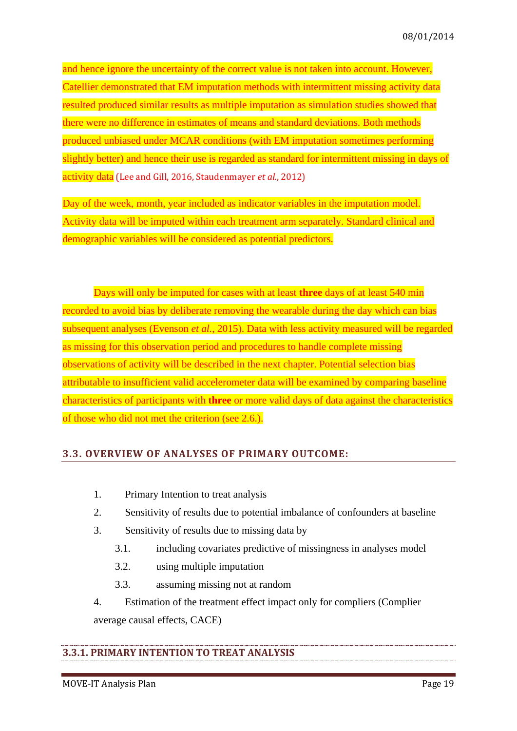and hence ignore the uncertainty of the correct value is not taken into account. However, Catellier demonstrated that EM imputation methods with intermittent missing activity data resulted produced similar results as multiple imputation as simulation studies showed that there were no difference in estimates of means and standard deviations. Both methods produced unbiased under MCAR conditions (with EM imputation sometimes performing slightly better) and hence their use is regarded as standard for intermittent missing in days of activity data [\(Lee and Gill, 2016,](#page-31-9) [Staudenmayer](#page-31-10) *et al.*, 2012)

Day of the week, month, year included as indicator variables in the imputation model. Activity data will be imputed within each treatment arm separately. Standard clinical and demographic variables will be considered as potential predictors.

Days will only be imputed for cases with at least **three** days of at least 540 min recorded to avoid bias by deliberate removing the wearable during the day which can bias subsequent analyses [\(Evenson](#page-31-11) *et al.*, 2015). Data with less activity measured will be regarded as missing for this observation period and procedures to handle complete missing observations of activity will be described in the next chapter. Potential selection bias attributable to insufficient valid accelerometer data will be examined by comparing baseline characteristics of participants with **three** or more valid days of data against the characteristics of those who did not met the criterion (see 2.6.).

### <span id="page-18-0"></span>**3.3. OVERVIEW OF ANALYSES OF PRIMARY OUTCOME:**

- 1. Primary Intention to treat analysis
- 2. Sensitivity of results due to potential imbalance of confounders at baseline
- 3. Sensitivity of results due to missing data by
	- 3.1. including covariates predictive of missingness in analyses model
	- 3.2. using multiple imputation
	- 3.3. assuming missing not at random
- 4. Estimation of the treatment effect impact only for compliers (Complier average causal effects, CACE)

### <span id="page-18-1"></span>**3.3.1. PRIMARY INTENTION TO TREAT ANALYSIS**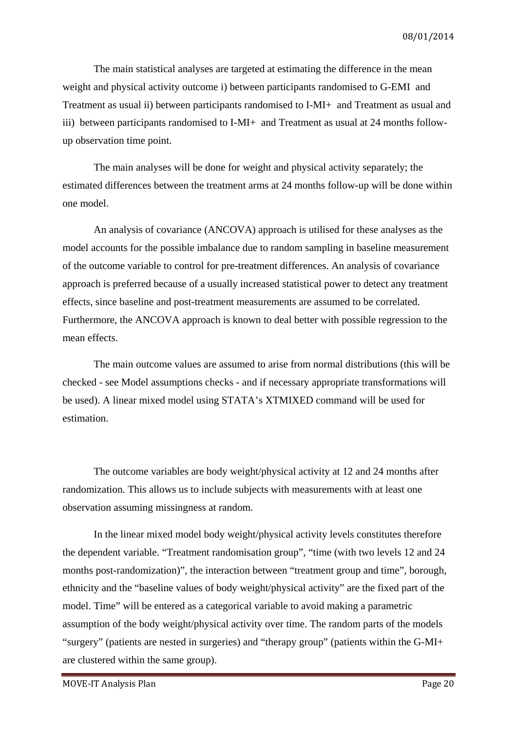The main statistical analyses are targeted at estimating the difference in the mean weight and physical activity outcome i) between participants randomised to G-EMI and Treatment as usual ii) between participants randomised to I-MI+ and Treatment as usual and iii) between participants randomised to I-MI+ and Treatment as usual at 24 months followup observation time point.

The main analyses will be done for weight and physical activity separately; the estimated differences between the treatment arms at 24 months follow-up will be done within one model.

An analysis of covariance (ANCOVA) approach is utilised for these analyses as the model accounts for the possible imbalance due to random sampling in baseline measurement of the outcome variable to control for pre-treatment differences. An analysis of covariance approach is preferred because of a usually increased statistical power to detect any treatment effects, since baseline and post-treatment measurements are assumed to be correlated. Furthermore, the ANCOVA approach is known to deal better with possible regression to the mean effects.

The main outcome values are assumed to arise from normal distributions (this will be checked - see Model assumptions checks - and if necessary appropriate transformations will be used). A linear mixed model using STATA's XTMIXED command will be used for estimation.

The outcome variables are body weight/physical activity at 12 and 24 months after randomization. This allows us to include subjects with measurements with at least one observation assuming missingness at random.

In the linear mixed model body weight/physical activity levels constitutes therefore the dependent variable. "Treatment randomisation group", "time (with two levels 12 and 24 months post-randomization)", the interaction between "treatment group and time", borough, ethnicity and the "baseline values of body weight/physical activity" are the fixed part of the model. Time" will be entered as a categorical variable to avoid making a parametric assumption of the body weight/physical activity over time. The random parts of the models "surgery" (patients are nested in surgeries) and "therapy group" (patients within the G-MI+ are clustered within the same group).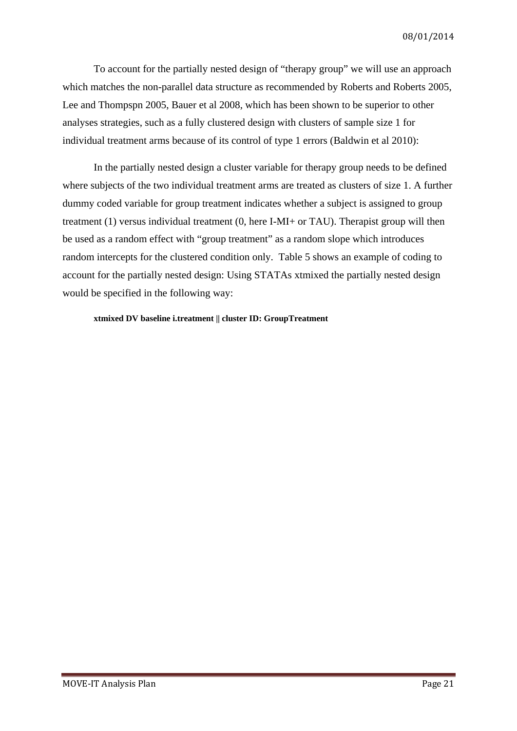To account for the partially nested design of "therapy group" we will use an approach which matches the non-parallel data structure as recommended by Roberts and Roberts 2005, Lee and Thompspn 2005, Bauer et al 2008, which has been shown to be superior to other analyses strategies, such as a fully clustered design with clusters of sample size 1 for individual treatment arms because of its control of type 1 errors (Baldwin et al 2010):

In the partially nested design a cluster variable for therapy group needs to be defined where subjects of the two individual treatment arms are treated as clusters of size 1. A further dummy coded variable for group treatment indicates whether a subject is assigned to group treatment (1) versus individual treatment (0, here I-MI+ or TAU). Therapist group will then be used as a random effect with "group treatment" as a random slope which introduces random intercepts for the clustered condition only. Table 5 shows an example of coding to account for the partially nested design: Using STATAs xtmixed the partially nested design would be specified in the following way:

#### **xtmixed DV baseline i.treatment || cluster ID: GroupTreatment**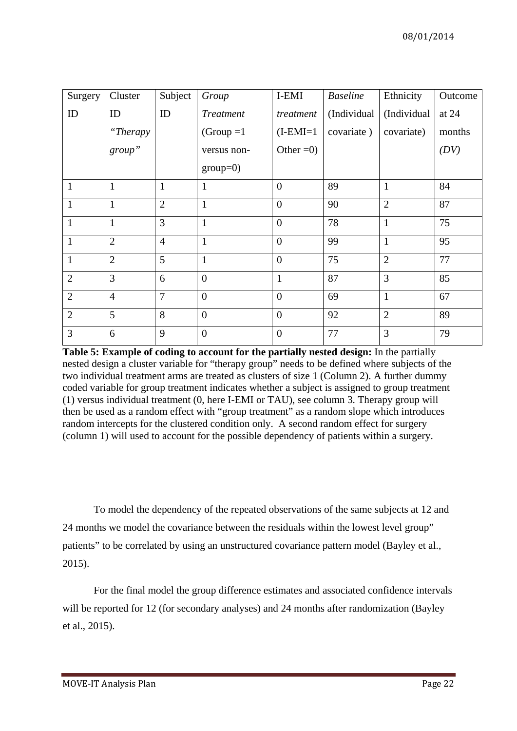| Surgery        | Cluster        | Subject        | Group            | I-EMI          | <b>Baseline</b> | Ethnicity      | Outcome |
|----------------|----------------|----------------|------------------|----------------|-----------------|----------------|---------|
| ID             | ID             | ID             | <b>Treatment</b> | treatment      | (Individual     | (Individual    | at $24$ |
|                | "Therapy       |                | $(Group = 1)$    | $(I-EMI=1)$    | covariate)      | covariate)     | months  |
|                | group"         |                | versus non-      | Other $=0$ )   |                 |                | (DV)    |
|                |                |                | $group=0)$       |                |                 |                |         |
| $\mathbf{1}$   | $\mathbf{1}$   | $\mathbf{1}$   | 1                | $\overline{0}$ | 89              | $\mathbf{1}$   | 84      |
| $\mathbf{1}$   | $\mathbf{1}$   | $\overline{2}$ | $\mathbf{1}$     | $\overline{0}$ | 90              | $\overline{2}$ | 87      |
| $\mathbf{1}$   | $\mathbf{1}$   | $\overline{3}$ | $\mathbf{1}$     | $\overline{0}$ | 78              | $\mathbf{1}$   | 75      |
| $\mathbf{1}$   | $\overline{2}$ | $\overline{4}$ | $\mathbf{1}$     | $\overline{0}$ | 99              | $\mathbf{1}$   | 95      |
| $\mathbf{1}$   | $\overline{2}$ | 5              | $\mathbf{1}$     | $\overline{0}$ | 75              | $\overline{2}$ | 77      |
| $\overline{2}$ | 3              | 6              | $\boldsymbol{0}$ | $\mathbf{1}$   | 87              | 3              | 85      |
| $\overline{2}$ | $\overline{4}$ | $\overline{7}$ | $\overline{0}$   | $\overline{0}$ | 69              | $\mathbf{1}$   | 67      |
| $\overline{2}$ | 5              | 8              | $\overline{0}$   | $\overline{0}$ | 92              | $\overline{2}$ | 89      |
| 3              | 6              | 9              | $\overline{0}$   | $\overline{0}$ | 77              | 3              | 79      |

**Table 5: Example of coding to account for the partially nested design:** In the partially nested design a cluster variable for "therapy group" needs to be defined where subjects of the two individual treatment arms are treated as clusters of size 1 (Column 2). A further dummy coded variable for group treatment indicates whether a subject is assigned to group treatment (1) versus individual treatment (0, here I-EMI or TAU), see column 3. Therapy group will then be used as a random effect with "group treatment" as a random slope which introduces random intercepts for the clustered condition only. A second random effect for surgery (column 1) will used to account for the possible dependency of patients within a surgery.

To model the dependency of the repeated observations of the same subjects at 12 and 24 months we model the covariance between the residuals within the lowest level group" patients" to be correlated by using an unstructured covariance pattern model (Bayley et al., 2015).

For the final model the group difference estimates and associated confidence intervals will be reported for 12 (for secondary analyses) and 24 months after randomization (Bayley et al., 2015).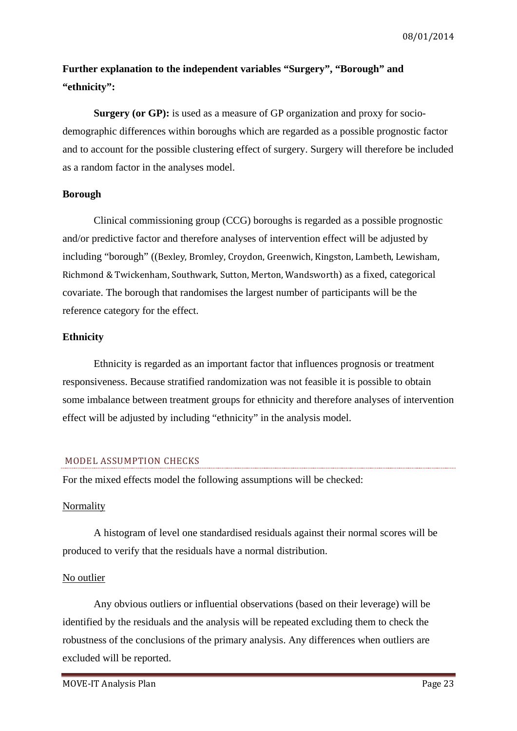08/01/2014

### **Further explanation to the independent variables "Surgery", "Borough" and "ethnicity":**

**Surgery (or GP):** is used as a measure of GP organization and proxy for sociodemographic differences within boroughs which are regarded as a possible prognostic factor and to account for the possible clustering effect of surgery. Surgery will therefore be included as a random factor in the analyses model.

### **Borough**

Clinical commissioning group (CCG) boroughs is regarded as a possible prognostic and/or predictive factor and therefore analyses of intervention effect will be adjusted by including "borough" ((Bexley, Bromley, Croydon, Greenwich, Kingston, Lambeth, Lewisham, Richmond & Twickenham, Southwark, Sutton, Merton, Wandsworth) as a fixed, categorical covariate. The borough that randomises the largest number of participants will be the reference category for the effect.

### **Ethnicity**

Ethnicity is regarded as an important factor that influences prognosis or treatment responsiveness. Because stratified randomization was not feasible it is possible to obtain some imbalance between treatment groups for ethnicity and therefore analyses of intervention effect will be adjusted by including "ethnicity" in the analysis model.

### MODEL ASSUMPTION CHECKS

For the mixed effects model the following assumptions will be checked:

### Normality

A histogram of level one standardised residuals against their normal scores will be produced to verify that the residuals have a normal distribution.

### No outlier

Any obvious outliers or influential observations (based on their leverage) will be identified by the residuals and the analysis will be repeated excluding them to check the robustness of the conclusions of the primary analysis. Any differences when outliers are excluded will be reported.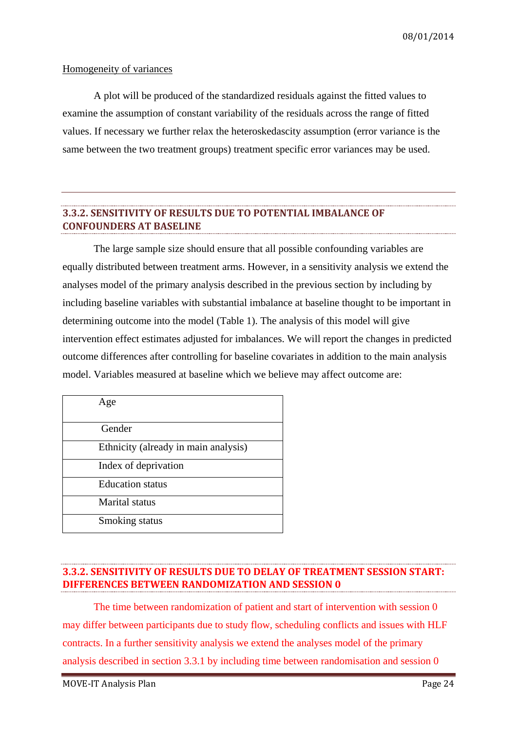### Homogeneity of variances

A plot will be produced of the standardized residuals against the fitted values to examine the assumption of constant variability of the residuals across the range of fitted values. If necessary we further relax the heteroskedascity assumption (error variance is the same between the two treatment groups) treatment specific error variances may be used.

### <span id="page-23-0"></span>**3.3.2. SENSITIVITY OF RESULTS DUE TO POTENTIAL IMBALANCE OF CONFOUNDERS AT BASELINE**

The large sample size should ensure that all possible confounding variables are equally distributed between treatment arms. However, in a sensitivity analysis we extend the analyses model of the primary analysis described in the previous section by including by including baseline variables with substantial imbalance at baseline thought to be important in determining outcome into the model (Table 1). The analysis of this model will give intervention effect estimates adjusted for imbalances. We will report the changes in predicted outcome differences after controlling for baseline covariates in addition to the main analysis model. Variables measured at baseline which we believe may affect outcome are:

| Age                                  |  |
|--------------------------------------|--|
| Gender                               |  |
| Ethnicity (already in main analysis) |  |
| Index of deprivation                 |  |
| <b>Education</b> status              |  |
| Marital status                       |  |
| Smoking status                       |  |

### <span id="page-23-1"></span>**3.3.2. SENSITIVITY OF RESULTS DUE TO DELAY OF TREATMENT SESSION START: DIFFERENCES BETWEEN RANDOMIZATION AND SESSION 0**

The time between randomization of patient and start of intervention with session 0 may differ between participants due to study flow, scheduling conflicts and issues with HLF contracts. In a further sensitivity analysis we extend the analyses model of the primary analysis described in section 3.3.1 by including time between randomisation and session 0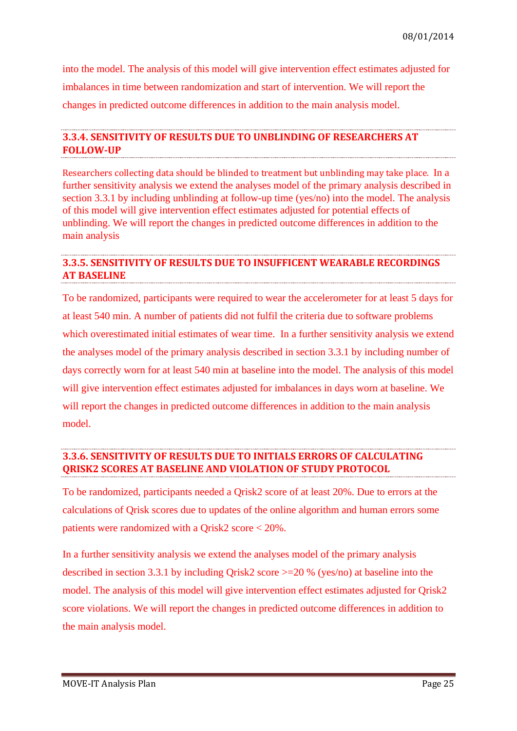into the model. The analysis of this model will give intervention effect estimates adjusted for imbalances in time between randomization and start of intervention. We will report the changes in predicted outcome differences in addition to the main analysis model.

### <span id="page-24-0"></span>**3.3.4. SENSITIVITY OF RESULTS DUE TO UNBLINDING OF RESEARCHERS AT FOLLOW-UP**

Researchers collecting data should be blinded to treatment but unblinding may take place. In a further sensitivity analysis we extend the analyses model of the primary analysis described in section 3.3.1 by including unblinding at follow-up time (yes/no) into the model. The analysis of this model will give intervention effect estimates adjusted for potential effects of unblinding. We will report the changes in predicted outcome differences in addition to the main analysis

### <span id="page-24-1"></span>**3.3.5. SENSITIVITY OF RESULTS DUE TO INSUFFICENT WEARABLE RECORDINGS AT BASELINE**

To be randomized, participants were required to wear the accelerometer for at least 5 days for at least 540 min. A number of patients did not fulfil the criteria due to software problems which overestimated initial estimates of wear time. In a further sensitivity analysis we extend the analyses model of the primary analysis described in section 3.3.1 by including number of days correctly worn for at least 540 min at baseline into the model. The analysis of this model will give intervention effect estimates adjusted for imbalances in days worn at baseline. We will report the changes in predicted outcome differences in addition to the main analysis model.

### <span id="page-24-2"></span>**3.3.6. SENSITIVITY OF RESULTS DUE TO INITIALS ERRORS OF CALCULATING QRISK2 SCORES AT BASELINE AND VIOLATION OF STUDY PROTOCOL**

To be randomized, participants needed a Qrisk2 score of at least 20%. Due to errors at the calculations of Qrisk scores due to updates of the online algorithm and human errors some patients were randomized with a Qrisk2 score < 20%.

In a further sensitivity analysis we extend the analyses model of the primary analysis described in section 3.3.1 by including Qrisk2 score >=20 % (yes/no) at baseline into the model. The analysis of this model will give intervention effect estimates adjusted for Qrisk2 score violations. We will report the changes in predicted outcome differences in addition to the main analysis model.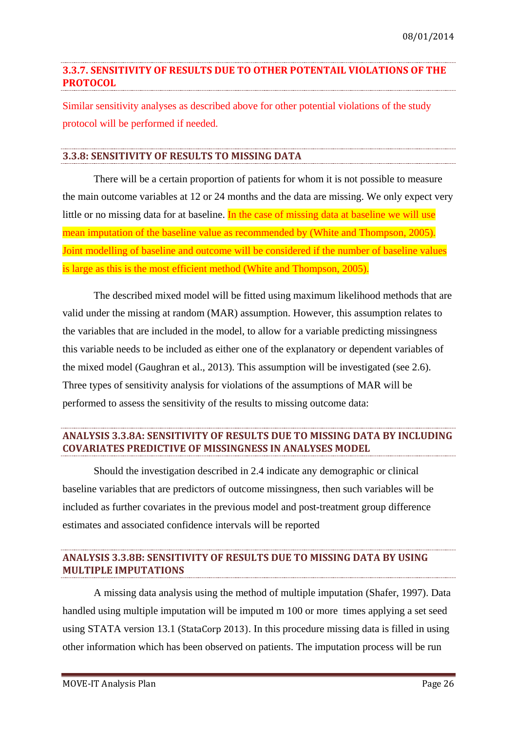### <span id="page-25-0"></span>**3.3.7. SENSITIVITY OF RESULTS DUE TO OTHER POTENTAIL VIOLATIONS OF THE PROTOCOL**

Similar sensitivity analyses as described above for other potential violations of the study protocol will be performed if needed.

### <span id="page-25-1"></span>**3.3.8: SENSITIVITY OF RESULTS TO MISSING DATA**

There will be a certain proportion of patients for whom it is not possible to measure the main outcome variables at 12 or 24 months and the data are missing. We only expect very little or no missing data for at baseline. In the case of missing data at baseline we will use mean imputation of the baseline value as recommended by [\(White and Thompson, 2005\)](#page-31-12). Joint modelling of baseline and outcome will be considered if the number of baseline values is large as this is the most efficient method [\(White and Thompson, 2005\)](#page-31-12).

The described mixed model will be fitted using maximum likelihood methods that are valid under the missing at random (MAR) assumption. However, this assumption relates to the variables that are included in the model, to allow for a variable predicting missingness this variable needs to be included as either one of the explanatory or dependent variables of the mixed model (Gaughran et al., 2013). This assumption will be investigated (see 2.6). Three types of sensitivity analysis for violations of the assumptions of MAR will be performed to assess the sensitivity of the results to missing outcome data:

### <span id="page-25-2"></span>**ANALYSIS 3.3.8A: SENSITIVITY OF RESULTS DUE TO MISSING DATA BY INCLUDING COVARIATES PREDICTIVE OF MISSINGNESS IN ANALYSES MODEL**

Should the investigation described in 2.4 indicate any demographic or clinical baseline variables that are predictors of outcome missingness, then such variables will be included as further covariates in the previous model and post-treatment group difference estimates and associated confidence intervals will be reported

### <span id="page-25-3"></span>**ANALYSIS 3.3.8B: SENSITIVITY OF RESULTS DUE TO MISSING DATA BY USING MULTIPLE IMPUTATIONS**

A missing data analysis using the method of multiple imputation [\(Shafer, 1997\)](#page-31-13). Data handled using multiple imputation will be imputed m 100 or more times applying a set seed using STATA version 13.1 (StataCorp 2013). In this procedure missing data is filled in using other information which has been observed on patients. The imputation process will be run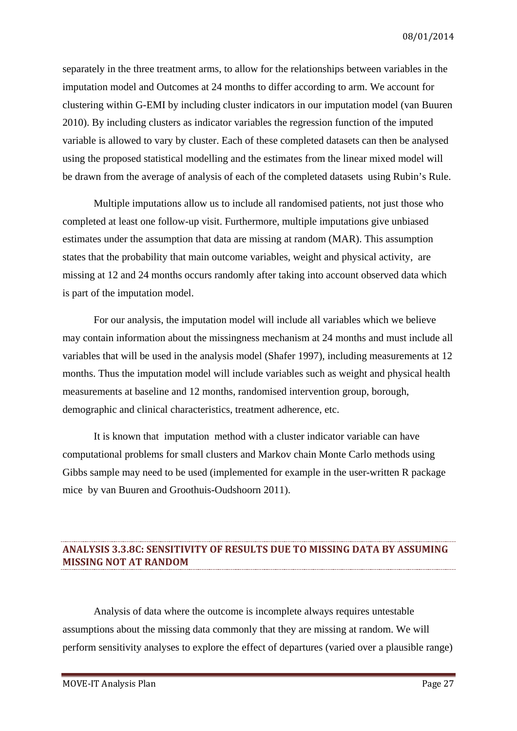separately in the three treatment arms, to allow for the relationships between variables in the imputation model and Outcomes at 24 months to differ according to arm. We account for clustering within G-EMI by including cluster indicators in our imputation model (van Buuren 2010). By including clusters as indicator variables the regression function of the imputed variable is allowed to vary by cluster. Each of these completed datasets can then be analysed using the proposed statistical modelling and the estimates from the linear mixed model will be drawn from the average of analysis of each of the completed datasets using Rubin's Rule.

Multiple imputations allow us to include all randomised patients, not just those who completed at least one follow-up visit. Furthermore, multiple imputations give unbiased estimates under the assumption that data are missing at random (MAR). This assumption states that the probability that main outcome variables, weight and physical activity, are missing at 12 and 24 months occurs randomly after taking into account observed data which is part of the imputation model.

For our analysis, the imputation model will include all variables which we believe may contain information about the missingness mechanism at 24 months and must include all variables that will be used in the analysis model (Shafer 1997), including measurements at 12 months. Thus the imputation model will include variables such as weight and physical health measurements at baseline and 12 months, randomised intervention group, borough, demographic and clinical characteristics, treatment adherence, etc.

It is known that imputation method with a cluster indicator variable can have computational problems for small clusters and Markov chain Monte Carlo methods using Gibbs sample may need to be used (implemented for example in the user-written R package mice by van Buuren and Groothuis-Oudshoorn 2011).

### <span id="page-26-0"></span>**ANALYSIS 3.3.8C: SENSITIVITY OF RESULTS DUE TO MISSING DATA BY ASSUMING MISSING NOT AT RANDOM**

Analysis of data where the outcome is incomplete always requires untestable assumptions about the missing data commonly that they are missing at random. We will perform sensitivity analyses to explore the effect of departures (varied over a plausible range)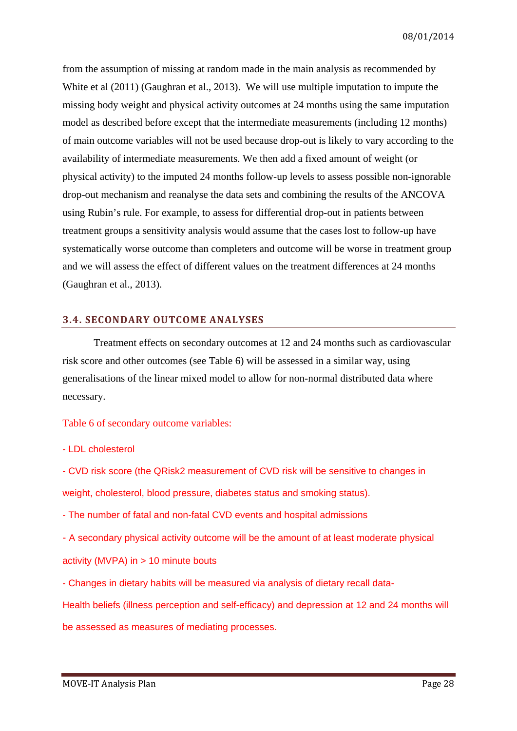from the assumption of missing at random made in the main analysis as recommended by White et al (2011) (Gaughran et al., 2013). We will use multiple imputation to impute the missing body weight and physical activity outcomes at 24 months using the same imputation model as described before except that the intermediate measurements (including 12 months) of main outcome variables will not be used because drop-out is likely to vary according to the availability of intermediate measurements. We then add a fixed amount of weight (or physical activity) to the imputed 24 months follow-up levels to assess possible non-ignorable drop-out mechanism and reanalyse the data sets and combining the results of the ANCOVA using Rubin's rule. For example, to assess for differential drop-out in patients between treatment groups a sensitivity analysis would assume that the cases lost to follow-up have systematically worse outcome than completers and outcome will be worse in treatment group and we will assess the effect of different values on the treatment differences at 24 months (Gaughran et al., 2013).

### <span id="page-27-0"></span>**3.4. SECONDARY OUTCOME ANALYSES**

Treatment effects on secondary outcomes at 12 and 24 months such as cardiovascular risk score and other outcomes (see Table 6) will be assessed in a similar way, using generalisations of the linear mixed model to allow for non-normal distributed data where necessary.

#### Table 6 of secondary outcome variables:

- LDL cholesterol

- CVD risk score (the QRisk2 measurement of CVD risk will be sensitive to changes in weight, cholesterol, blood pressure, diabetes status and smoking status).

- The number of fatal and non-fatal CVD events and hospital admissions

- A secondary physical activity outcome will be the amount of at least moderate physical activity (MVPA) in > 10 minute bouts

- Changes in dietary habits will be measured via analysis of dietary recall data-

Health beliefs (illness perception and self-efficacy) and depression at 12 and 24 months will be assessed as measures of mediating processes.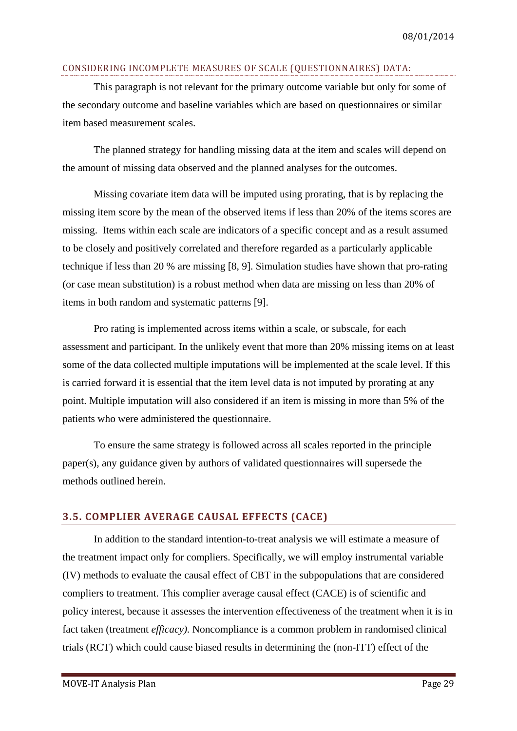### CONSIDERING INCOMPLETE MEASURES OF SCALE (QUESTIONNAIRES) DATA:

This paragraph is not relevant for the primary outcome variable but only for some of the secondary outcome and baseline variables which are based on questionnaires or similar item based measurement scales.

The planned strategy for handling missing data at the item and scales will depend on the amount of missing data observed and the planned analyses for the outcomes.

Missing covariate item data will be imputed using prorating, that is by replacing the missing item score by the mean of the observed items if less than 20% of the items scores are missing. Items within each scale are indicators of a specific concept and as a result assumed to be closely and positively correlated and therefore regarded as a particularly applicable technique if less than 20 % are missing [8, 9]. Simulation studies have shown that pro-rating (or case mean substitution) is a robust method when data are missing on less than 20% of items in both random and systematic patterns [9].

Pro rating is implemented across items within a scale, or subscale, for each assessment and participant. In the unlikely event that more than 20% missing items on at least some of the data collected multiple imputations will be implemented at the scale level. If this is carried forward it is essential that the item level data is not imputed by prorating at any point. Multiple imputation will also considered if an item is missing in more than 5% of the patients who were administered the questionnaire.

To ensure the same strategy is followed across all scales reported in the principle paper(s), any guidance given by authors of validated questionnaires will supersede the methods outlined herein.

### <span id="page-28-0"></span>**3.5. COMPLIER AVERAGE CAUSAL EFFECTS (CACE)**

In addition to the standard intention-to-treat analysis we will estimate a measure of the treatment impact only for compliers. Specifically, we will employ instrumental variable (IV) methods to evaluate the causal effect of CBT in the subpopulations that are considered compliers to treatment. This complier average causal effect (CACE) is of scientific and policy interest, because it assesses the intervention effectiveness of the treatment when it is in fact taken (treatment *efficacy)*. Noncompliance is a common problem in randomised clinical trials (RCT) which could cause biased results in determining the (non-ITT) effect of the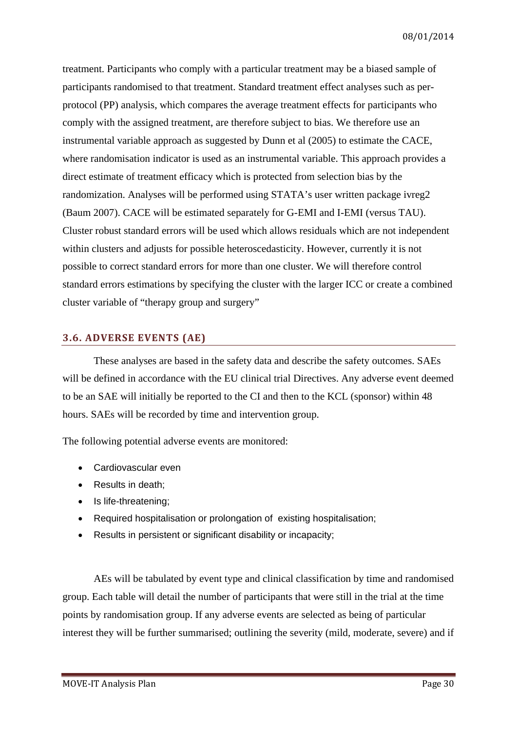treatment. Participants who comply with a particular treatment may be a biased sample of participants randomised to that treatment. Standard treatment effect analyses such as perprotocol (PP) analysis, which compares the average treatment effects for participants who comply with the assigned treatment, are therefore subject to bias. We therefore use an instrumental variable approach as suggested by Dunn et al (2005) to estimate the CACE, where randomisation indicator is used as an instrumental variable. This approach provides a direct estimate of treatment efficacy which is protected from selection bias by the randomization. Analyses will be performed using STATA's user written package ivreg2 (Baum 2007). CACE will be estimated separately for G-EMI and I-EMI (versus TAU). Cluster robust standard errors will be used which allows residuals which are not independent within clusters and adjusts for possible heteroscedasticity. However, currently it is not possible to correct standard errors for more than one cluster. We will therefore control standard errors estimations by specifying the cluster with the larger ICC or create a combined cluster variable of "therapy group and surgery"

### <span id="page-29-0"></span>**3.6. ADVERSE EVENTS (AE)**

These analyses are based in the safety data and describe the safety outcomes. SAEs will be defined in accordance with the EU clinical trial Directives. Any adverse event deemed to be an SAE will initially be reported to the CI and then to the KCL (sponsor) within 48 hours. SAEs will be recorded by time and intervention group.

The following potential adverse events are monitored:

- Cardiovascular even
- Results in death:
- Is life-threatening;
- Required hospitalisation or prolongation of existing hospitalisation:
- Results in persistent or significant disability or incapacity;

AEs will be tabulated by event type and clinical classification by time and randomised group. Each table will detail the number of participants that were still in the trial at the time points by randomisation group. If any adverse events are selected as being of particular interest they will be further summarised; outlining the severity (mild, moderate, severe) and if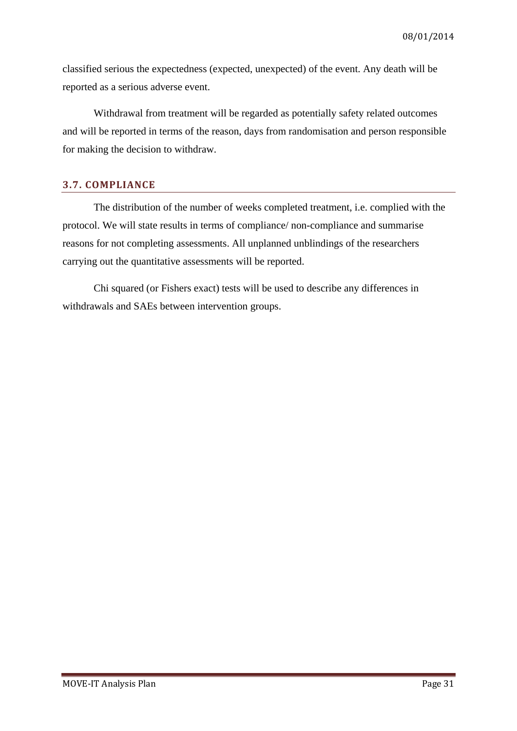classified serious the expectedness (expected, unexpected) of the event. Any death will be reported as a serious adverse event.

Withdrawal from treatment will be regarded as potentially safety related outcomes and will be reported in terms of the reason, days from randomisation and person responsible for making the decision to withdraw.

### <span id="page-30-0"></span>**3.7. COMPLIANCE**

The distribution of the number of weeks completed treatment, i.e. complied with the protocol. We will state results in terms of compliance/ non-compliance and summarise reasons for not completing assessments. All unplanned unblindings of the researchers carrying out the quantitative assessments will be reported.

Chi squared (or Fishers exact) tests will be used to describe any differences in withdrawals and SAEs between intervention groups.